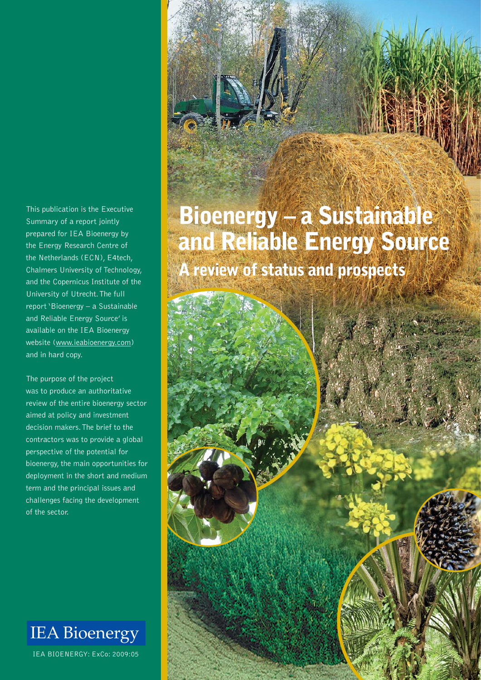This publication is the Executive Summary of a report jointly prepared for IEA Bioenergy by the Energy Research Centre of the Netherlands (ECN), E4tech, Chalmers University of Technology, and the Copernicus Institute of the University of Utrecht. The full report 'Bioenergy – a Sustainable and Reliable Energy Source' is available on the IEA Bioenergy website (www.ieabioenergy.com) and in hard copy.

The purpose of the project was to produce an authoritative review of the entire bioenergy sector aimed at policy and investment decision makers. The brief to the contractors was to provide a global perspective of the potential for bioenergy, the main opportunities for deployment in the short and medium term and the principal issues and challenges facing the development of the sector.



IEA BIOENERGY: ExCo: 2009:05

# **Bioenergy – a Sustainable and Reliable Energy Source**

**A review of status and prospects** 

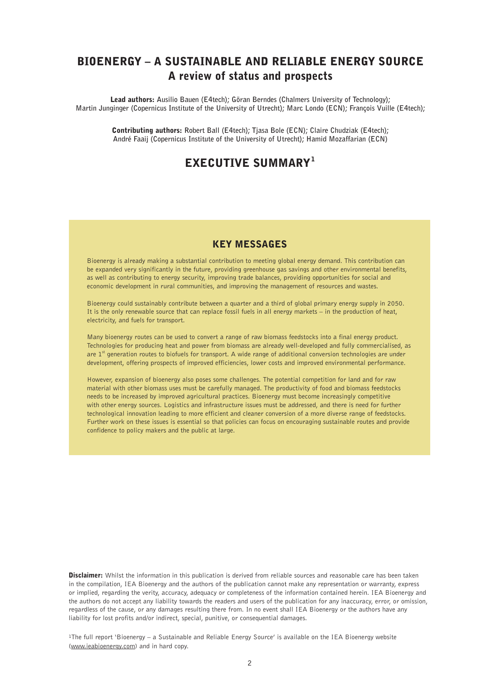# BIOENERGY – A SUSTAINABLE AND RELIABLE ENERGY SOURCE A review of status and prospects

Lead authors: **Ausilio Bauen (E4tech); Göran Berndes (Chalmers University of Technology); Martin Junginger (Copernicus Institute of the University of Utrecht); Marc Londo (ECN); François Vuille (E4tech);**

> Contributing authors: **Robert Ball (E4tech); Tjasa Bole (ECN); Claire Chudziak (E4tech); André Faaij (Copernicus Institute of the University of Utrecht); Hamid Mozaffarian (ECN)**

# **EXECUTIVE SUMMARY<sup>1</sup>**

# KEY MESSAGES

Bioenergy is already making a substantial contribution to meeting global energy demand. This contribution can be expanded very significantly in the future, providing greenhouse gas savings and other environmental benefits, as well as contributing to energy security, improving trade balances, providing opportunities for social and economic development in rural communities, and improving the management of resources and wastes.

Bioenergy could sustainably contribute between a quarter and a third of global primary energy supply in 2050. It is the only renewable source that can replace fossil fuels in all energy markets – in the production of heat, electricity, and fuels for transport.

Many bioenergy routes can be used to convert a range of raw biomass feedstocks into a final energy product. Technologies for producing heat and power from biomass are already well-developed and fully commercialised, as are 1<sup>st</sup> generation routes to biofuels for transport. A wide range of additional conversion technologies are under development, offering prospects of improved efficiencies, lower costs and improved environmental performance.

However, expansion of bioenergy also poses some challenges. The potential competition for land and for raw material with other biomass uses must be carefully managed. The productivity of food and biomass feedstocks needs to be increased by improved agricultural practices. Bioenergy must become increasingly competitive with other energy sources. Logistics and infrastructure issues must be addressed, and there is need for further technological innovation leading to more efficient and cleaner conversion of a more diverse range of feedstocks. Further work on these issues is essential so that policies can focus on encouraging sustainable routes and provide confidence to policy makers and the public at large.

Disclaimer: Whilst the information in this publication is derived from reliable sources and reasonable care has been taken in the compilation, IEA Bioenergy and the authors of the publication cannot make any representation or warranty, express or implied, regarding the verity, accuracy, adequacy or completeness of the information contained herein. IEA Bioenergy and the authors do not accept any liability towards the readers and users of the publication for any inaccuracy, error, or omission, regardless of the cause, or any damages resulting there from. In no event shall IEA Bioenergy or the authors have any liability for lost profits and/or indirect, special, punitive, or consequential damages.

1The full report 'Bioenergy – a Sustainable and Reliable Energy Source' is available on the IEA Bioenergy website (www.ieabioenergy.com) and in hard copy.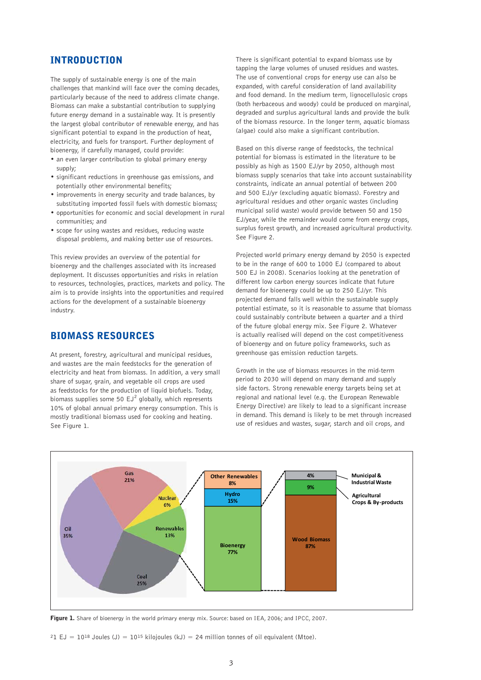## **INTRODUCTION**

The supply of sustainable energy is one of the main challenges that mankind will face over the coming decades, particularly because of the need to address climate change. Biomass can make a substantial contribution to supplying future energy demand in a sustainable way. It is presently the largest global contributor of renewable energy, and has significant potential to expand in the production of heat, electricity, and fuels for transport. Further deployment of bioenergy, if carefully managed, could provide:

- an even larger contribution to global primary energy supply;
- significant reductions in greenhouse gas emissions, and potentially other environmental benefits;
- improvements in energy security and trade balances, by substituting imported fossil fuels with domestic biomass;
- opportunities for economic and social development in rural communities; and
- scope for using wastes and residues, reducing waste disposal problems, and making better use of resources.

This review provides an overview of the potential for bioenergy and the challenges associated with its increased deployment. It discusses opportunities and risks in relation to resources, technologies, practices, markets and policy. The aim is to provide insights into the opportunities and required actions for the development of a sustainable bioenergy industry.

## **BIOMASS RESOURCES**

At present, forestry, agricultural and municipal residues, and wastes are the main feedstocks for the generation of electricity and heat from biomass. In addition, a very small share of sugar, grain, and vegetable oil crops are used as feedstocks for the production of liquid biofuels. Today, biomass supplies some 50  $EJ^2$  globally, which represents 10% of global annual primary energy consumption. This is mostly traditional biomass used for cooking and heating. See Figure 1.

There is significant potential to expand biomass use by tapping the large volumes of unused residues and wastes. The use of conventional crops for energy use can also be expanded, with careful consideration of land availability and food demand. In the medium term, lignocellulosic crops (both herbaceous and woody) could be produced on marginal, degraded and surplus agricultural lands and provide the bulk of the biomass resource. In the longer term, aquatic biomass (algae) could also make a significant contribution.

Based on this diverse range of feedstocks, the technical potential for biomass is estimated in the literature to be possibly as high as 1500 EJ/yr by 2050, although most biomass supply scenarios that take into account sustainability constraints, indicate an annual potential of between 200 and 500 EJ/yr (excluding aquatic biomass). Forestry and agricultural residues and other organic wastes (including municipal solid waste) would provide between 50 and 150 EJ/year, while the remainder would come from energy crops, surplus forest growth, and increased agricultural productivity. See Figure 2.

Projected world primary energy demand by 2050 is expected to be in the range of 600 to 1000 EJ (compared to about 500 EJ in 2008). Scenarios looking at the penetration of different low carbon energy sources indicate that future demand for bioenergy could be up to 250 EJ/yr. This projected demand falls well within the sustainable supply potential estimate, so it is reasonable to assume that biomass could sustainably contribute between a quarter and a third of the future global energy mix. See Figure 2. Whatever is actually realised will depend on the cost competitiveness of bioenergy and on future policy frameworks, such as greenhouse gas emission reduction targets.

Growth in the use of biomass resources in the mid-term period to 2030 will depend on many demand and supply side factors. Strong renewable energy targets being set at regional and national level (e.g. the European Renewable Energy Directive) are likely to lead to a significant increase in demand. This demand is likely to be met through increased use of residues and wastes, sugar, starch and oil crops, and



**Figure 1.** Share of bioenergy in the world primary energy mix. Source: based on IEA, 2006; and IPCC, 2007.

<sup>2</sup>1 EJ = 10<sup>18</sup> Joules (J) = 10<sup>15</sup> kilojoules (kJ) = 24 million tonnes of oil equivalent (Mtoe).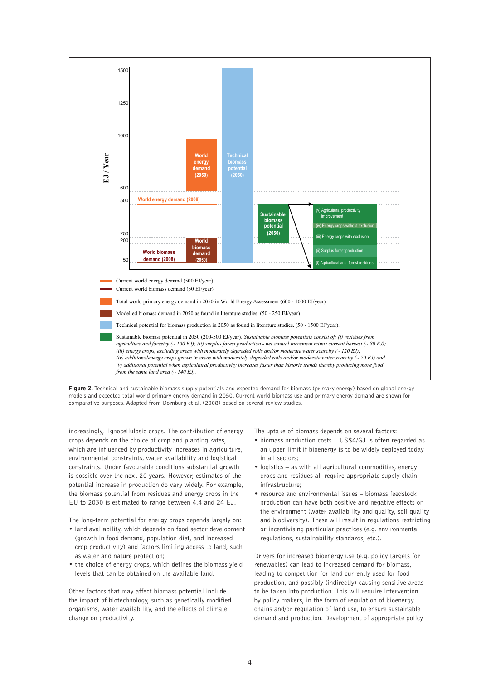

**Figure 2.** Technical and sustainable biomass supply potentials and expected demand for biomass (primary energy) based on global energy models and expected total world primary energy demand in 2050. Current world biomass use and primary energy demand are shown for comparative purposes. Adapted from Dornburg et al. (2008) based on several review studies.

increasingly, lignocellulosic crops. The contribution of energy crops depends on the choice of crop and planting rates, which are influenced by productivity increases in agriculture, environmental constraints, water availability and logistical constraints. Under favourable conditions substantial growth is possible over the next 20 years. However, estimates of the potential increase in production do vary widely. For example, the biomass potential from residues and energy crops in the EU to 2030 is estimated to range between 4.4 and 24 EJ.

The long-term potential for energy crops depends largely on:

- land availability, which depends on food sector development (growth in food demand, population diet, and increased crop productivity) and factors limiting access to land, such as water and nature protection;
- the choice of energy crops, which defines the biomass yield levels that can be obtained on the available land.

Other factors that may affect biomass potential include the impact of biotechnology, such as genetically modified organisms, water availability, and the effects of climate change on productivity.

The uptake of biomass depends on several factors:

- biomass production costs US\$4/GJ is often regarded as an upper limit if bioenergy is to be widely deployed today in all sectors;
- logistics as with all agricultural commodities, energy crops and residues all require appropriate supply chain infrastructure;
- resource and environmental issues biomass feedstock production can have both positive and negative effects on the environment (water availability and quality, soil quality and biodiversity). These will result in regulations restricting or incentivising particular practices (e.g. environmental regulations, sustainability standards, etc.).

Drivers for increased bioenergy use (e.g. policy targets for renewables) can lead to increased demand for biomass, leading to competition for land currently used for food production, and possibly (indirectly) causing sensitive areas to be taken into production. This will require intervention by policy makers, in the form of regulation of bioenergy chains and/or regulation of land use, to ensure sustainable demand and production. Development of appropriate policy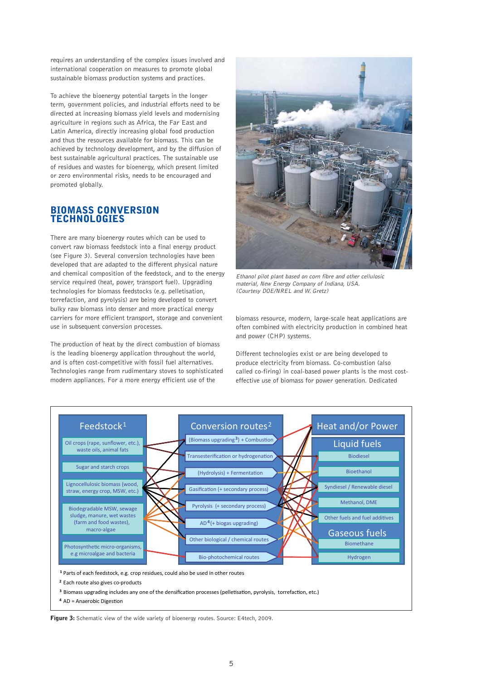requires an understanding of the complex issues involved and international cooperation on measures to promote global sustainable biomass production systems and practices.

To achieve the bioenergy potential targets in the longer term, government policies, and industrial efforts need to be directed at increasing biomass yield levels and modernising agriculture in regions such as Africa, the Far East and Latin America, directly increasing global food production and thus the resources available for biomass. This can be achieved by technology development, and by the diffusion of best sustainable agricultural practices. The sustainable use of residues and wastes for bioenergy, which present limited or zero environmental risks, needs to be encouraged and promoted globally.

### **BIOMASS CONVERSION TECHNOLOGIES**

There are many bioenergy routes which can be used to convert raw biomass feedstock into a final energy product (see Figure 3). Several conversion technologies have been developed that are adapted to the different physical nature and chemical composition of the feedstock, and to the energy service required (heat, power, transport fuel). Upgrading technologies for biomass feedstocks (e.g. pelletisation, torrefaction, and pyrolysis) are being developed to convert bulky raw biomass into denser and more practical energy carriers for more efficient transport, storage and convenient use in subsequent conversion processes.

The production of heat by the direct combustion of biomass is the leading bioenergy application throughout the world, and is often cost-competitive with fossil fuel alternatives. Technologies range from rudimentary stoves to sophisticated modern appliances. For a more energy efficient use of the



Ethanol pilot plant based on corn fibre and other cellulosic material, New Energy Company of Indiana, USA. (Courtesy DOE/NREL and W. Gretz)

biomass resource, modern, large-scale heat applications are often combined with electricity production in combined heat and power (CHP) systems.

Different technologies exist or are being developed to produce electricity from biomass. Co-combustion (also called co-firing) in coal-based power plants is the most costeffective use of biomass for power generation. Dedicated



Figure 3: Schematic view of the wide variety of bioenergy routes. Source: E4tech, 2009.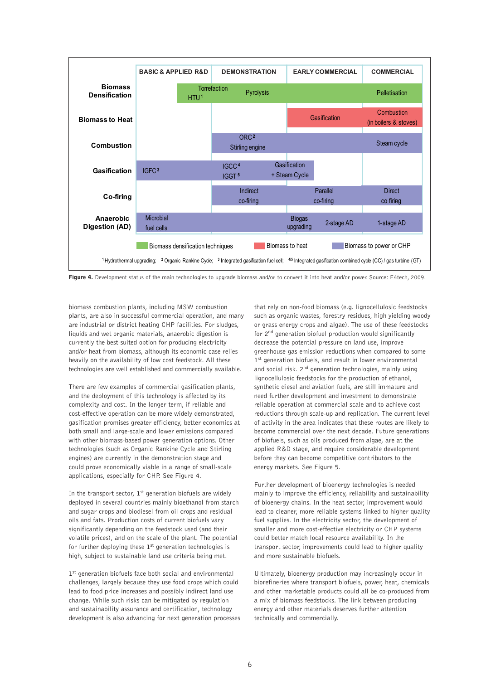

Figure 4. Development status of the main technologies to upgrade biomass and/or to convert it into heat and/or power. Source: E4tech, 2009.

biomass combustion plants, including MSW combustion plants, are also in successful commercial operation, and many are industrial or district heating CHP facilities. For sludges, liquids and wet organic materials, anaerobic digestion is currently the best-suited option for producing electricity and/or heat from biomass, although its economic case relies heavily on the availability of low cost feedstock. All these technologies are well established and commercially available.

There are few examples of commercial gasification plants, and the deployment of this technology is affected by its complexity and cost. In the longer term, if reliable and cost-effective operation can be more widely demonstrated, gasification promises greater efficiency, better economics at both small and large-scale and lower emissions compared with other biomass-based power generation options. Other technologies (such as Organic Rankine Cycle and Stirling engines) are currently in the demonstration stage and could prove economically viable in a range of small-scale applications, especially for CHP. See Figure 4.

In the transport sector,  $1<sup>st</sup>$  generation biofuels are widely deployed in several countries mainly bioethanol from starch and sugar crops and biodiesel from oil crops and residual oils and fats. Production costs of current biofuels vary significantly depending on the feedstock used (and their volatile prices), and on the scale of the plant. The potential for further deploying these  $1<sup>st</sup>$  generation technologies is high, subject to sustainable land use criteria being met.

1<sup>st</sup> generation biofuels face both social and environmental challenges, largely because they use food crops which could lead to food price increases and possibly indirect land use change. While such risks can be mitigated by regulation and sustainability assurance and certification, technology development is also advancing for next generation processes that rely on non-food biomass (e.g. lignocellulosic feedstocks such as organic wastes, forestry residues, high yielding woody or grass energy crops and algae). The use of these feedstocks for 2<sup>nd</sup> generation biofuel production would significantly decrease the potential pressure on land use, improve greenhouse gas emission reductions when compared to some 1<sup>st</sup> generation biofuels, and result in lower environmental and social risk.  $2<sup>nd</sup>$  generation technologies, mainly using lignocellulosic feedstocks for the production of ethanol, synthetic diesel and aviation fuels, are still immature and need further development and investment to demonstrate reliable operation at commercial scale and to achieve cost reductions through scale-up and replication. The current level of activity in the area indicates that these routes are likely to become commercial over the next decade. Future generations of biofuels, such as oils produced from algae, are at the applied R&D stage, and require considerable development before they can become competitive contributors to the energy markets. See Figure 5.

Further development of bioenergy technologies is needed mainly to improve the efficiency, reliability and sustainability of bioenergy chains. In the heat sector, improvement would lead to cleaner, more reliable systems linked to higher quality fuel supplies. In the electricity sector, the development of smaller and more cost-effective electricity or CHP systems could better match local resource availability. In the transport sector, improvements could lead to higher quality and more sustainable biofuels.

Ultimately, bioenergy production may increasingly occur in biorefineries where transport biofuels, power, heat, chemicals and other marketable products could all be co-produced from a mix of biomass feedstocks. The link between producing energy and other materials deserves further attention technically and commercially.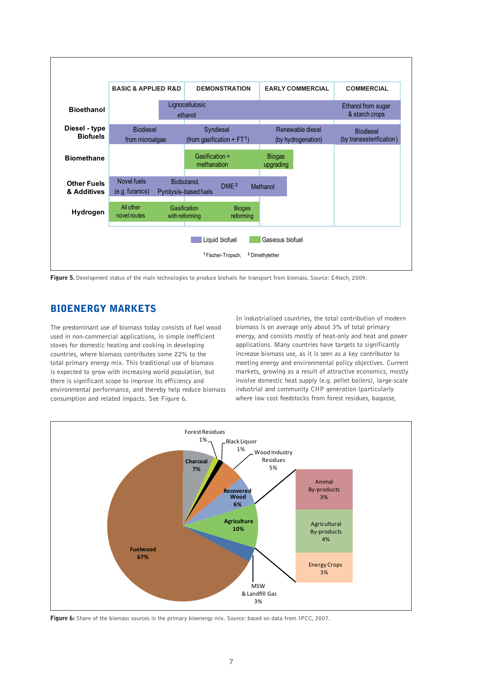

Figure 5. Development status of the main technologies to produce biofuels for transport from biomass. Source: E4tech, 2009.

# **BIOENERGY MARKETS**

The predominant use of biomass today consists of fuel wood used in non-commercial applications, in simple inefficient stoves for domestic heating and cooking in developing countries, where biomass contributes some 22% to the total primary energy mix. This traditional use of biomass is expected to grow with increasing world population, but there is significant scope to improve its efficiency and environmental performance, and thereby help reduce biomass consumption and related impacts. See Figure 6.

In industrialised countries, the total contribution of modern biomass is on average only about 3% of total primary energy, and consists mostly of heat-only and heat and power applications. Many countries have targets to significantly increase biomass use, as it is seen as a key contributor to meeting energy and environmental policy objectives. Current markets, growing as a result of attractive economics, mostly involve domestic heat supply (e.g. pellet boilers), large-scale industrial and community CHP generation (particularly where low cost feedstocks from forest residues, bagasse,



Figure 6: Share of the biomass sources in the primary bioenergy mix. Source: based on data from IPCC, 2007.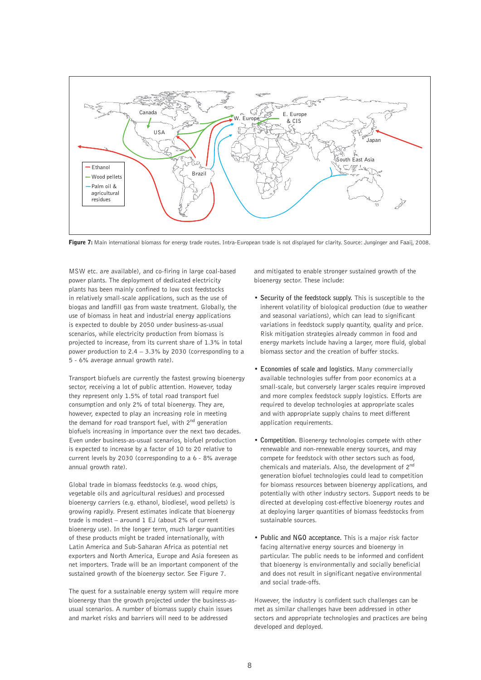

**Figure 7:** Main international biomass for energy trade routes. Intra-European trade is not displayed for clarity. Source: Junginger and Faaij, 2008.

MSW etc. are available), and co-firing in large coal-based power plants. The deployment of dedicated electricity plants has been mainly confined to low cost feedstocks in relatively small-scale applications, such as the use of biogas and landfill gas from waste treatment. Globally, the use of biomass in heat and industrial energy applications is expected to double by 2050 under business-as-usual scenarios, while electricity production from biomass is projected to increase, from its current share of 1.3% in total power production to 2.4 – 3.3% by 2030 (corresponding to a 5 - 6% average annual growth rate).

Transport biofuels are currently the fastest growing bioenergy sector, receiving a lot of public attention. However, today they represent only 1.5% of total road transport fuel consumption and only 2% of total bioenergy. They are, however, expected to play an increasing role in meeting the demand for road transport fuel, with 2<sup>nd</sup> generation biofuels increasing in importance over the next two decades. Even under business-as-usual scenarios, biofuel production is expected to increase by a factor of 10 to 20 relative to current levels by 2030 (corresponding to a 6 - 8% average annual growth rate).

Global trade in biomass feedstocks (e.g. wood chips, vegetable oils and agricultural residues) and processed bioenergy carriers (e.g. ethanol, biodiesel, wood pellets) is growing rapidly. Present estimates indicate that bioenergy trade is modest – around 1 EJ (about 2% of current bioenergy use). In the longer term, much larger quantities of these products might be traded internationally, with Latin America and Sub-Saharan Africa as potential net exporters and North America, Europe and Asia foreseen as net importers. Trade will be an important component of the sustained growth of the bioenergy sector. See Figure 7.

The quest for a sustainable energy system will require more bioenergy than the growth projected under the business-asusual scenarios. A number of biomass supply chain issues and market risks and barriers will need to be addressed

and mitigated to enable stronger sustained growth of the bioenergy sector. These include:

- **Security of the feedstock supply.** This is susceptible to the inherent volatility of biological production (due to weather and seasonal variations), which can lead to significant variations in feedstock supply quantity, quality and price. Risk mitigation strategies already common in food and energy markets include having a larger, more fluid, global biomass sector and the creation of buffer stocks.
- **Economies of scale and logistics.** Many commercially available technologies suffer from poor economics at a small-scale, but conversely larger scales require improved and more complex feedstock supply logistics. Efforts are required to develop technologies at appropriate scales and with appropriate supply chains to meet different application requirements.
- **Competition.** Bioenergy technologies compete with other renewable and non-renewable energy sources, and may compete for feedstock with other sectors such as food, chemicals and materials. Also, the development of 2nd generation biofuel technologies could lead to competition for biomass resources between bioenergy applications, and potentially with other industry sectors. Support needs to be directed at developing cost-effective bioenergy routes and at deploying larger quantities of biomass feedstocks from sustainable sources.
- **Public and NGO acceptance.** This is a major risk factor facing alternative energy sources and bioenergy in particular. The public needs to be informed and confident that bioenergy is environmentally and socially beneficial and does not result in significant negative environmental and social trade-offs.

However, the industry is confident such challenges can be met as similar challenges have been addressed in other sectors and appropriate technologies and practices are being developed and deployed.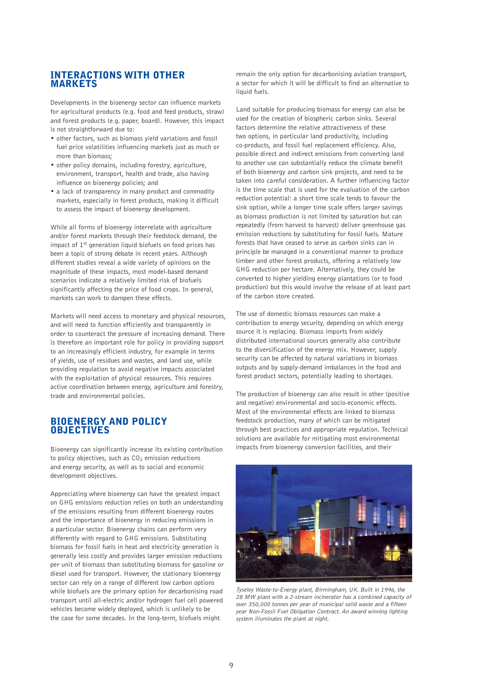### **INTERACTIONS WITH OTHER MARKETS**

Developments in the bioenergy sector can influence markets for agricultural products (e.g. food and feed products, straw) and forest products (e.g. paper, board). However, this impact is not straightforward due to:

- other factors, such as biomass yield variations and fossil fuel price volatilities influencing markets just as much or more than biomass;
- other policy domains, including forestry, agriculture, environment, transport, health and trade, also having influence on bioenergy policies; and
- a lack of transparency in many product and commodity markets, especially in forest products, making it difficult to assess the impact of bioenergy development.

While all forms of bioenergy interrelate with agriculture and/or forest markets through their feedstock demand, the impact of  $1<sup>st</sup>$  generation liquid biofuels on food prices has been a topic of strong debate in recent years. Although different studies reveal a wide variety of opinions on the magnitude of these impacts, most model-based demand scenarios indicate a relatively limited risk of biofuels significantly affecting the price of food crops. In general, markets can work to dampen these effects.

Markets will need access to monetary and physical resources, and will need to function efficiently and transparently in order to counteract the pressure of increasing demand. There is therefore an important role for policy in providing support to an increasingly efficient industry, for example in terms of yields, use of residues and wastes, and land use, while providing regulation to avoid negative impacts associated with the exploitation of physical resources. This requires active coordination between energy, agriculture and forestry, trade and environmental policies.

### **BIOENERGY AND POLICY OBJECTIVES**

Bioenergy can significantly increase its existing contribution to policy objectives, such as  $CO<sub>2</sub>$  emission reductions and energy security, as well as to social and economic development objectives.

Appreciating where bioenergy can have the greatest impact on GHG emissions reduction relies on both an understanding of the emissions resulting from different bioenergy routes and the importance of bioenergy in reducing emissions in a particular sector. Bioenergy chains can perform very differently with regard to GHG emissions. Substituting biomass for fossil fuels in heat and electricity generation is generally less costly and provides larger emission reductions per unit of biomass than substituting biomass for gasoline or diesel used for transport. However, the stationary bioenergy sector can rely on a range of different low carbon options while biofuels are the primary option for decarbonising road transport until all-electric and/or hydrogen fuel cell powered vehicles become widely deployed, which is unlikely to be the case for some decades. In the long-term, biofuels might

remain the only option for decarbonising aviation transport, a sector for which it will be difficult to find an alternative to liquid fuels.

Land suitable for producing biomass for energy can also be used for the creation of biospheric carbon sinks. Several factors determine the relative attractiveness of these two options, in particular land productivity, including co-products, and fossil fuel replacement efficiency. Also, possible direct and indirect emissions from converting land to another use can substantially reduce the climate benefit of both bioenergy and carbon sink projects, and need to be taken into careful consideration. A further influencing factor is the time scale that is used for the evaluation of the carbon reduction potential: a short time scale tends to favour the sink option, while a longer time scale offers larger savings as biomass production is not limited by saturation but can repeatedly (from harvest to harvest) deliver greenhouse gas emission reductions by substituting for fossil fuels. Mature forests that have ceased to serve as carbon sinks can in principle be managed in a conventional manner to produce timber and other forest products, offering a relatively low GHG reduction per hectare. Alternatively, they could be converted to higher yielding energy plantations (or to food production) but this would involve the release of at least part of the carbon store created.

The use of domestic biomass resources can make a contribution to energy security, depending on which energy source it is replacing. Biomass imports from widely distributed international sources generally also contribute to the diversification of the energy mix. However, supply security can be affected by natural variations in biomass outputs and by supply-demand imbalances in the food and forest product sectors, potentially leading to shortages.

The production of bioenergy can also result in other (positive and negative) environmental and socio-economic effects. Most of the environmental effects are linked to biomass feedstock production, many of which can be mitigated through best practices and appropriate regulation. Technical solutions are available for mitigating most environmental impacts from bioenergy conversion facilities, and their



Tyseley Waste-to-Energy plant, Birmingham, UK. Built in 1996, the 28 MW plant with a 2-stream incinerator has a combined capacity of over 350,000 tonnes per year of municipal solid waste and a fifteen year Non-Fossil Fuel Obligation Contract. An award winning lighting system illuminates the plant at night.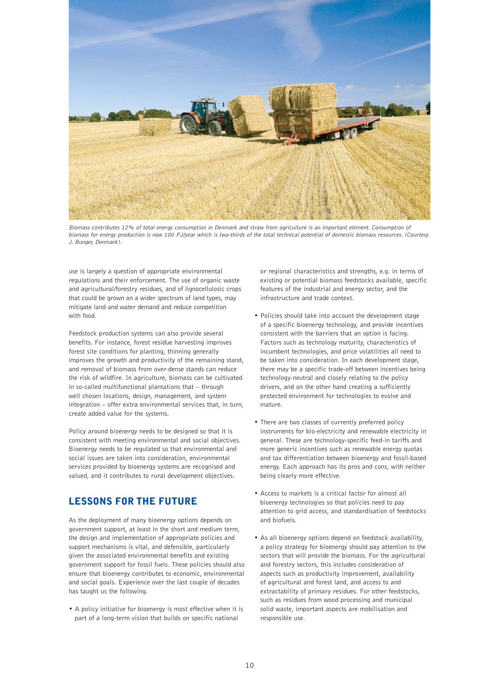

Biomass contributes 12% of total energy consumption in Denmark and straw from agriculture is an important element. Consumption of biomass for energy production is now 100 PJ/year which is two-thirds of the total technical potential of domestic biomass resources. (Courtesy J. Bunger, Denmark).

use is largely a question of appropriate environmental regulations and their enforcement. The use of organic waste and agricultural/forestry residues, and of lignocellulosic crops that could be grown on a wider spectrum of land types, may mitigate land and water demand and reduce competition with food.

Feedstock production systems can also provide several benefits. For instance, forest residue harvesting improves forest site conditions for planting, thinning generally improves the growth and productivity of the remaining stand, and removal of biomass from over-dense stands can reduce the risk of wildfire. In agriculture, biomass can be cultivated in so-called multifunctional plantations that – through well chosen locations, design, management, and system integration – offer extra environmental services that, in turn, create added value for the systems.

Policy around bioenergy needs to be designed so that it is consistent with meeting environmental and social objectives. Bioenergy needs to be regulated so that environmental and social issues are taken into consideration, environmental services provided by bioenergy systems are recognised and valued, and it contributes to rural development objectives.

# **LESSONS FOR THE FUTURE**

As the deployment of many bioenergy options depends on government support, at least in the short and medium term, the design and implementation of appropriate policies and support mechanisms is vital, and defensible, particularly given the associated environmental benefits and existing government support for fossil fuels. These policies should also ensure that bioenergy contributes to economic, environmental and social goals. Experience over the last couple of decades has taught us the following.

• A policy initiative for bioenergy is most effective when it is part of a long-term vision that builds on specific national

or regional characteristics and strengths, e.g. in terms of existing or potential biomass feedstocks available, specific features of the industrial and energy sector, and the infrastructure and trade context.

- Policies should take into account the development stage of a specific bioenergy technology, and provide incentives consistent with the barriers that an option is facing. Factors such as technology maturity, characteristics of incumbent technologies, and price volatilities all need to be taken into consideration. In each development stage, there may be a specific trade-off between incentives being technology-neutral and closely relating to the policy drivers, and on the other hand creating a sufficiently protected environment for technologies to evolve and mature.
- There are two classes of currently preferred policy instruments for bio-electricity and renewable electricity in general. These are technology-specific feed-in tariffs and more generic incentives such as renewable energy quotas and tax differentiation between bioenergy and fossil-based energy. Each approach has its pros and cons, with neither being clearly more effective.
- Access to markets is a critical factor for almost all bioenergy technologies so that policies need to pay attention to grid access, and standardisation of feedstocks and biofuels.
- As all bioenergy options depend on feedstock availability, a policy strategy for bioenergy should pay attention to the sectors that will provide the biomass. For the agricultural and forestry sectors, this includes consideration of aspects such as productivity improvement, availability of agricultural and forest land, and access to and extractability of primary residues. For other feedstocks, such as residues from wood processing and municipal solid waste, important aspects are mobilisation and responsible use.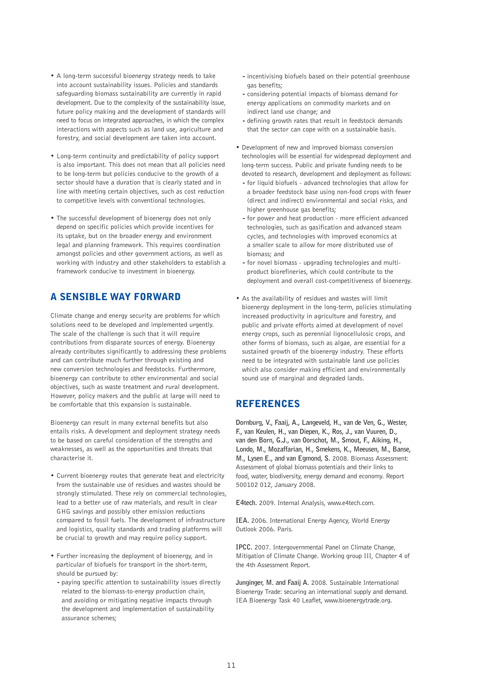- A long-term successful bioenergy strategy needs to take into account sustainability issues. Policies and standards safeguarding biomass sustainability are currently in rapid development. Due to the complexity of the sustainability issue, future policy making and the development of standards will need to focus on integrated approaches, in which the complex interactions with aspects such as land use, agriculture and forestry, and social development are taken into account.
- Long-term continuity and predictability of policy support is also important. This does not mean that all policies need to be long-term but policies conducive to the growth of a sector should have a duration that is clearly stated and in line with meeting certain objectives, such as cost reduction to competitive levels with conventional technologies.
- The successful development of bioenergy does not only depend on specific policies which provide incentives for its uptake, but on the broader energy and environment legal and planning framework. This requires coordination amongst policies and other government actions, as well as working with industry and other stakeholders to establish a framework conducive to investment in bioenergy.

# **A SENSIBLE WAY FORWARD**

Climate change and energy security are problems for which solutions need to be developed and implemented urgently. The scale of the challenge is such that it will require contributions from disparate sources of energy. Bioenergy already contributes significantly to addressing these problems and can contribute much further through existing and new conversion technologies and feedstocks. Furthermore, bioenergy can contribute to other environmental and social objectives, such as waste treatment and rural development. However, policy makers and the public at large will need to be comfortable that this expansion is sustainable.

Bioenergy can result in many external benefits but also entails risks. A development and deployment strategy needs to be based on careful consideration of the strengths and weaknesses, as well as the opportunities and threats that characterise it.

- Current bioenergy routes that generate heat and electricity from the sustainable use of residues and wastes should be strongly stimulated. These rely on commercial technologies, lead to a better use of raw materials, and result in clear GHG savings and possibly other emission reductions compared to fossil fuels. The development of infrastructure and logistics, quality standards and trading platforms will be crucial to growth and may require policy support.
- Further increasing the deployment of bioenergy, and in particular of biofuels for transport in the short-term, should be pursued by:
	- paying specific attention to sustainability issues directly related to the biomass-to-energy production chain, and avoiding or mitigating negative impacts through the development and implementation of sustainability assurance schemes;
- incentivising biofuels based on their potential greenhouse gas benefits;
- considering potential impacts of biomass demand for energy applications on commodity markets and on indirect land use change; and
- defining growth rates that result in feedstock demands that the sector can cope with on a sustainable basis.
- Development of new and improved biomass conversion technologies will be essential for widespread deployment and long-term success. Public and private funding needs to be devoted to research, development and deployment as follows:
	- for liquid biofuels advanced technologies that allow for a broader feedstock base using non-food crops with fewer (direct and indirect) environmental and social risks, and higher greenhouse gas benefits;
	- for power and heat production more efficient advanced technologies, such as gasification and advanced steam cycles, and technologies with improved economics at a smaller scale to allow for more distributed use of biomass; and
	- for novel biomass upgrading technologies and multiproduct biorefineries, which could contribute to the deployment and overall cost-competitiveness of bioenergy.
- As the availability of residues and wastes will limit bioenergy deployment in the long-term, policies stimulating increased productivity in agriculture and forestry, and public and private efforts aimed at development of novel energy crops, such as perennial lignocellulosic crops, and other forms of biomass, such as algae, are essential for a sustained growth of the bioenergy industry. These efforts need to be integrated with sustainable land use policies which also consider making efficient and environmentally sound use of marginal and degraded lands.

# **REFERENCES**

**Dornburg, V., Faaij, A., Langeveld, H., van de Ven, G., Wester, F., van Keulen, H., van Diepen, K., Ros, J., van Vuuren, D., van den Born, G.J., van Oorschot, M., Smout, F., Aiking, H., Londo, M., Mozaffarian, H., Smekens, K., Meeusen, M., Banse, M., Lysen E., and van Egmond, S.** 2008. Biomass Assessment: Assessment of global biomass potentials and their links to food, water, biodiversity, energy demand and economy. Report 500102 012, January 2008.

**E4tech.** 2009. Internal Analysis, www.e4tech.com.

**IEA.** 2006. International Energy Agency, World Energy Outlook 2006. Paris.

**IPCC.** 2007. Intergovernmental Panel on Climate Change, Mitigation of Climate Change. Working group III, Chapter 4 of the 4th Assessment Report.

**Junginger, M. and Faaij A.** 2008. Sustainable International Bioenergy Trade: securing an international supply and demand. IEA Bioenergy Task 40 Leaflet, www.bioenergytrade.org.